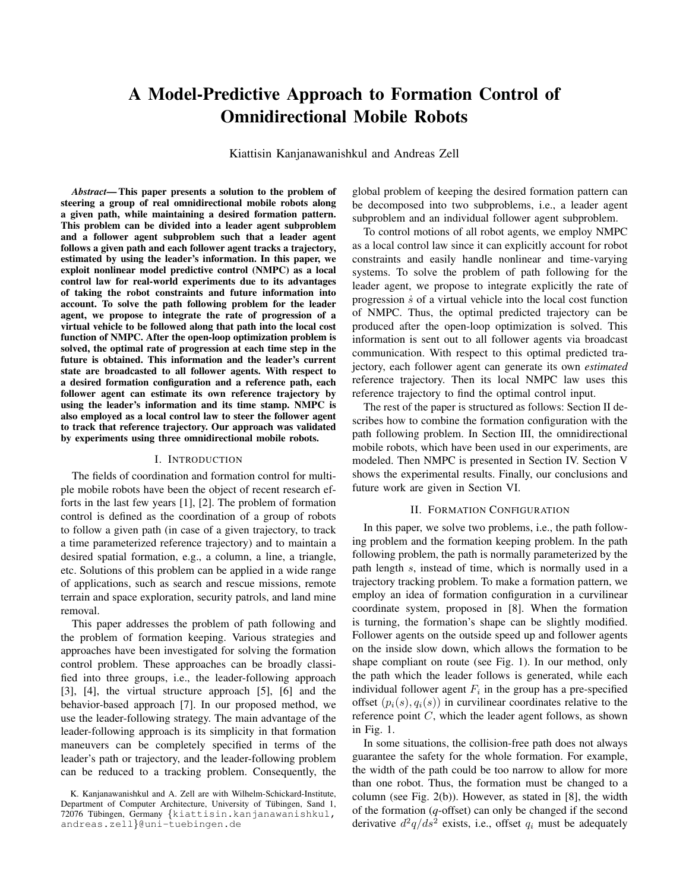# **A Model-Predictive Approach to Formation Control of Omnidirectional Mobile Robots**

Kiattisin Kanjanawanishkul and Andreas Zell

*Abstract***— This paper presents a solution to the problem of steering a group of real omnidirectional mobile robots along a given path, while maintaining a desired formation pattern. This problem can be divided into a leader agent subproblem and a follower agent subproblem such that a leader agent follows a given path and each follower agent tracks a trajectory, estimated by using the leader's information. In this paper, we exploit nonlinear model predictive control (NMPC) as a local control law for real-world experiments due to its advantages of taking the robot constraints and future information into account. To solve the path following problem for the leader agent, we propose to integrate the rate of progression of a virtual vehicle to be followed along that path into the local cost function of NMPC. After the open-loop optimization problem is solved, the optimal rate of progression at each time step in the future is obtained. This information and the leader's current state are broadcasted to all follower agents. With respect to a desired formation configuration and a reference path, each follower agent can estimate its own reference trajectory by using the leader's information and its time stamp. NMPC is also employed as a local control law to steer the follower agent to track that reference trajectory. Our approach was validated by experiments using three omnidirectional mobile robots.**

## I. INTRODUCTION

The fields of coordination and formation control for multiple mobile robots have been the object of recent research efforts in the last few years [1], [2]. The problem of formation control is defined as the coordination of a group of robots to follow a given path (in case of a given trajectory, to track a time parameterized reference trajectory) and to maintain a desired spatial formation, e.g., a column, a line, a triangle, etc. Solutions of this problem can be applied in a wide range of applications, such as search and rescue missions, remote terrain and space exploration, security patrols, and land mine removal.

This paper addresses the problem of path following and the problem of formation keeping. Various strategies and approaches have been investigated for solving the formation control problem. These approaches can be broadly classified into three groups, i.e., the leader-following approach [3], [4], the virtual structure approach [5], [6] and the behavior-based approach [7]. In our proposed method, we use the leader-following strategy. The main advantage of the leader-following approach is its simplicity in that formation maneuvers can be completely specified in terms of the leader's path or trajectory, and the leader-following problem can be reduced to a tracking problem. Consequently, the

global problem of keeping the desired formation pattern can be decomposed into two subproblems, i.e., a leader agent subproblem and an individual follower agent subproblem.

To control motions of all robot agents, we employ NMPC as a local control law since it can explicitly account for robot constraints and easily handle nonlinear and time-varying systems. To solve the problem of path following for the leader agent, we propose to integrate explicitly the rate of progression  $\dot{s}$  of a virtual vehicle into the local cost function of NMPC. Thus, the optimal predicted trajectory can be produced after the open-loop optimization is solved. This information is sent out to all follower agents via broadcast communication. With respect to this optimal predicted trajectory, each follower agent can generate its own *estimated* reference trajectory. Then its local NMPC law uses this reference trajectory to find the optimal control input.

The rest of the paper is structured as follows: Section II describes how to combine the formation configuration with the path following problem. In Section III, the omnidirectional mobile robots, which have been used in our experiments, are modeled. Then NMPC is presented in Section IV. Section V shows the experimental results. Finally, our conclusions and future work are given in Section VI.

#### II. FORMATION CONFIGURATION

In this paper, we solve two problems, i.e., the path following problem and the formation keeping problem. In the path following problem, the path is normally parameterized by the path length s, instead of time, which is normally used in a trajectory tracking problem. To make a formation pattern, we employ an idea of formation configuration in a curvilinear coordinate system, proposed in [8]. When the formation is turning, the formation's shape can be slightly modified. Follower agents on the outside speed up and follower agents on the inside slow down, which allows the formation to be shape compliant on route (see Fig. 1). In our method, only the path which the leader follows is generated, while each individual follower agent  $F_i$  in the group has a pre-specified offset  $(p_i(s), q_i(s))$  in curvilinear coordinates relative to the reference point C, which the leader agent follows, as shown in Fig. 1.

In some situations, the collision-free path does not always guarantee the safety for the whole formation. For example, the width of the path could be too narrow to allow for more than one robot. Thus, the formation must be changed to a column (see Fig. 2(b)). However, as stated in [8], the width of the formation (*q*-offset) can only be changed if the second derivative  $d^2q/ds^2$  exists, i.e., offset  $q_i$  must be adequately

K. Kanjanawanishkul and A. Zell are with Wilhelm-Schickard-Institute, Department of Computer Architecture, University of Tübingen, Sand 1, 72076 Tübingen, Germany {kiattisin.kanjanawanishkul, andreas.zell}@uni-tuebingen.de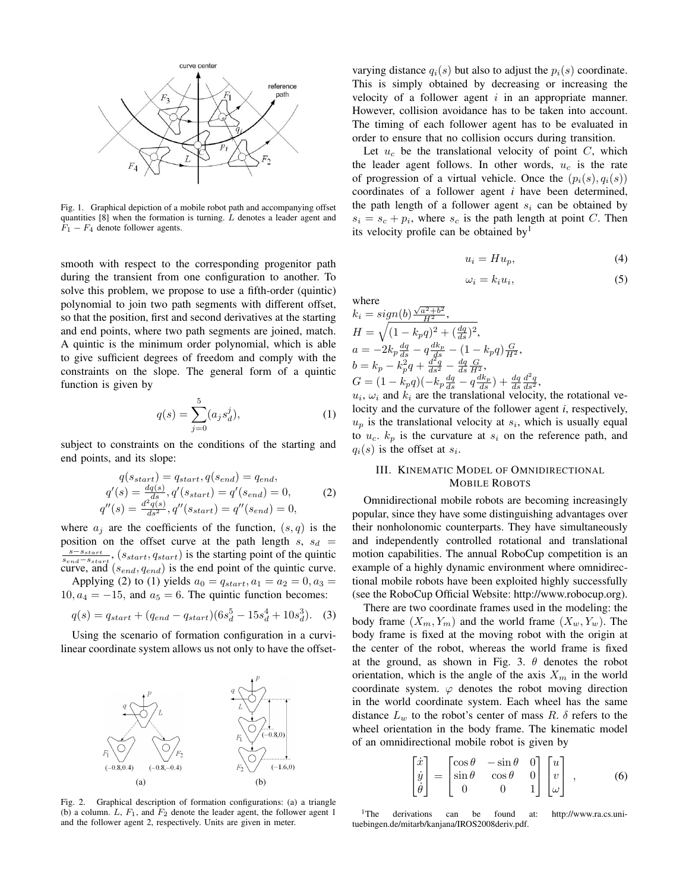

Fig. 1. Graphical depiction of a mobile robot path and accompanying offset quantities  $[8]$  when the formation is turning.  $L$  denotes a leader agent and  $F_1 - F_4$  denote follower agents.

smooth with respect to the corresponding progenitor path during the transient from one configuration to another. To solve this problem, we propose to use a fifth-order (quintic) polynomial to join two path segments with different offset, so that the position, first and second derivatives at the starting and end points, where two path segments are joined, match. A quintic is the minimum order polynomial, which is able to give sufficient degrees of freedom and comply with the constraints on the slope. The general form of a quintic function is given by

$$
q(s) = \sum_{j=0}^{5} (a_j s_d^j),
$$
 (1)

subject to constraints on the conditions of the starting and end points, and its slope:

$$
q(s_{start}) = q_{start}, q(s_{end}) = q_{end},
$$
  
\n
$$
q'(s) = \frac{dq(s)}{ds}, q'(s_{start}) = q'(s_{end}) = 0,
$$
  
\n
$$
q''(s) = \frac{d^2q(s)}{ds^2}, q''(s_{start}) = q''(s_{end}) = 0,
$$
\n(2)

where  $a_i$  are the coefficients of the function,  $(s, q)$  is the position on the offset curve at the path length  $s, s_d$  =  $\frac{s-s_{start}}{s_{end}-s_{start}}$ ,  $(s_{start}, q_{start})$  is the starting point of the quintic curve, and  $(s_{end}, q_{end})$  is the end point of the quintic curve.

Applying (2) to (1) yields  $a_0 = q_{start}, a_1 = a_2 = 0, a_3 =$  $10, a_4 = -15$ , and  $a_5 = 6$ . The quintic function becomes:

$$
q(s) = q_{start} + (q_{end} - q_{start})(6s_d^5 - 15s_d^4 + 10s_d^3). \quad (3)
$$

Using the scenario of formation configuration in a curvilinear coordinate system allows us not only to have the offset-



Fig. 2. Graphical description of formation configurations: (a) a triangle (b) a column.  $L, F_1$ , and  $F_2$  denote the leader agent, the follower agent 1 and the follower agent 2, respectively. Units are given in meter.

varying distance  $q_i(s)$  but also to adjust the  $p_i(s)$  coordinate. This is simply obtained by decreasing or increasing the velocity of a follower agent  $i$  in an appropriate manner. However, collision avoidance has to be taken into account. The timing of each follower agent has to be evaluated in order to ensure that no collision occurs during transition.

Let  $u_c$  be the translational velocity of point C, which the leader agent follows. In other words,  $u_c$  is the rate of progression of a virtual vehicle. Once the  $(p_i(s), q_i(s))$ coordinates of a follower agent *i* have been determined, the path length of a follower agent  $s_i$  can be obtained by  $s_i = s_c + p_i$ , where  $s_c$  is the path length at point C. Then its velocity profile can be obtained by<sup>1</sup>

$$
u_i = Hu_p,\tag{4}
$$

$$
\omega_i = k_i u_i,\tag{5}
$$

where where  $k_i = sign(b) \frac{\sqrt{a^2+b^2}}{H^2},$  $H = \sqrt{(1 - k_p q)^2 + (\frac{dq}{ds})^2},$ 

$$
a = -2k_p \frac{dq}{ds} - q \frac{dk_p}{ds} - (1 - k_p q) \frac{G}{H^2},
$$
  
\n
$$
b = k_p - k_p^2 q + \frac{d^2q}{ds^2} - \frac{dq}{ds} \frac{G}{H^2},
$$
  
\n
$$
G = (1 - k_p q)(-k_p \frac{dq}{ds} - q \frac{dk_p}{ds}) + \frac{dq}{ds} \frac{d^2q}{ds^2},
$$

 $u_i$ ,  $\omega_i$  and  $k_i$  are the translational velocity, the rotational velocity and the curvature of the follower agent *i*, respectively,  $u_p$  is the translational velocity at  $s_i$ , which is usually equal to  $u_c$ .  $k_p$  is the curvature at  $s_i$  on the reference path, and  $q_i(s)$  is the offset at  $s_i$ .

# III. KINEMATIC MODEL OF OMNIDIRECTIONAL MOBILE ROBOTS

Omnidirectional mobile robots are becoming increasingly popular, since they have some distinguishing advantages over their nonholonomic counterparts. They have simultaneously and independently controlled rotational and translational motion capabilities. The annual RoboCup competition is an example of a highly dynamic environment where omnidirectional mobile robots have been exploited highly successfully (see the RoboCup Official Website: http://www.robocup.org).

There are two coordinate frames used in the modeling: the body frame  $(X_m, Y_m)$  and the world frame  $(X_w, Y_w)$ . The body frame is fixed at the moving robot with the origin at the center of the robot, whereas the world frame is fixed at the ground, as shown in Fig. 3.  $\theta$  denotes the robot orientation, which is the angle of the axis  $X_m$  in the world coordinate system.  $\varphi$  denotes the robot moving direction in the world coordinate system. Each wheel has the same distance  $L_w$  to the robot's center of mass R.  $\delta$  refers to the wheel orientation in the body frame. The kinematic model of an omnidirectional mobile robot is given by

$$
\begin{bmatrix} \dot{x} \\ \dot{y} \\ \dot{\theta} \end{bmatrix} = \begin{bmatrix} \cos \theta & -\sin \theta & 0 \\ \sin \theta & \cos \theta & 0 \\ 0 & 0 & 1 \end{bmatrix} \begin{bmatrix} u \\ v \\ \omega \end{bmatrix}, \qquad (6)
$$

<sup>1</sup>The derivations can be found at: http://www.ra.cs.unituebingen.de/mitarb/kanjana/IROS2008deriv.pdf.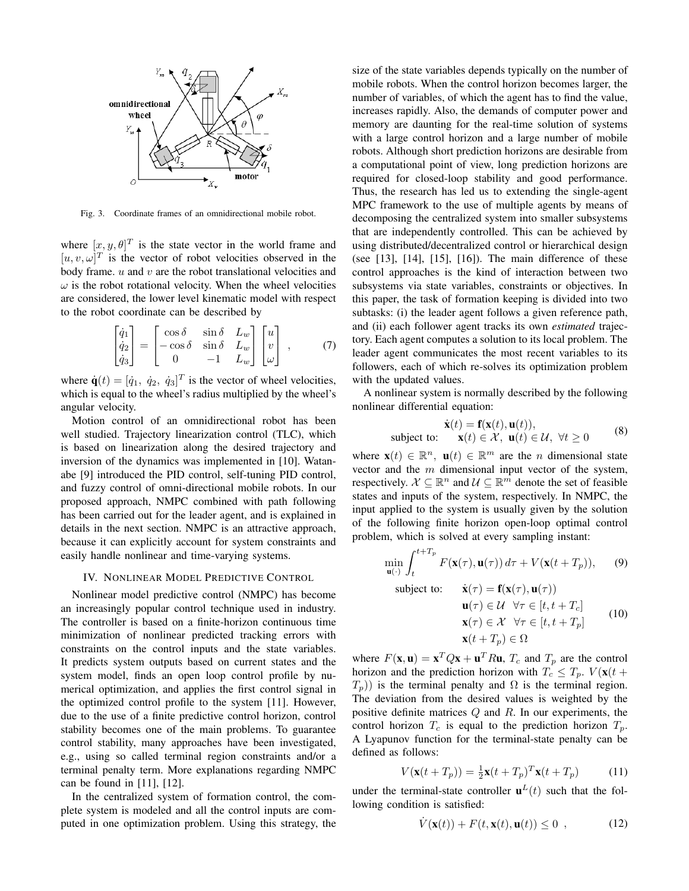

Fig. 3. Coordinate frames of an omnidirectional mobile robot.

where  $[x, y, \theta]^T$  is the state vector in the world frame and  $[u, v, \omega]^T$  is the vector of robot velocities observed in the body frame.  $u$  and  $v$  are the robot translational velocities and  $\omega$  is the robot rotational velocity. When the wheel velocities are considered, the lower level kinematic model with respect to the robot coordinate can be described by

$$
\begin{bmatrix} \dot{q}_1 \\ \dot{q}_2 \\ \dot{q}_3 \end{bmatrix} = \begin{bmatrix} \cos \delta & \sin \delta & L_w \\ -\cos \delta & \sin \delta & L_w \\ 0 & -1 & L_w \end{bmatrix} \begin{bmatrix} u \\ v \\ \omega \end{bmatrix} , \qquad (7)
$$

where  $\dot{\mathbf{q}}(t) = [\dot{q}_1, \dot{q}_2, \dot{q}_3]^T$  is the vector of wheel velocities, which is equal to the wheel's radius multiplied by the wheel's angular velocity.

Motion control of an omnidirectional robot has been well studied. Trajectory linearization control (TLC), which is based on linearization along the desired trajectory and inversion of the dynamics was implemented in [10]. Watanabe [9] introduced the PID control, self-tuning PID control, and fuzzy control of omni-directional mobile robots. In our proposed approach, NMPC combined with path following has been carried out for the leader agent, and is explained in details in the next section. NMPC is an attractive approach, because it can explicitly account for system constraints and easily handle nonlinear and time-varying systems.

## IV. NONLINEAR MODEL PREDICTIVE CONTROL

Nonlinear model predictive control (NMPC) has become an increasingly popular control technique used in industry. The controller is based on a finite-horizon continuous time minimization of nonlinear predicted tracking errors with constraints on the control inputs and the state variables. It predicts system outputs based on current states and the system model, finds an open loop control profile by numerical optimization, and applies the first control signal in the optimized control profile to the system [11]. However, due to the use of a finite predictive control horizon, control stability becomes one of the main problems. To guarantee control stability, many approaches have been investigated, e.g., using so called terminal region constraints and/or a terminal penalty term. More explanations regarding NMPC can be found in [11], [12].

In the centralized system of formation control, the complete system is modeled and all the control inputs are computed in one optimization problem. Using this strategy, the size of the state variables depends typically on the number of mobile robots. When the control horizon becomes larger, the number of variables, of which the agent has to find the value, increases rapidly. Also, the demands of computer power and memory are daunting for the real-time solution of systems with a large control horizon and a large number of mobile robots. Although short prediction horizons are desirable from a computational point of view, long prediction horizons are required for closed-loop stability and good performance. Thus, the research has led us to extending the single-agent MPC framework to the use of multiple agents by means of decomposing the centralized system into smaller subsystems that are independently controlled. This can be achieved by using distributed/decentralized control or hierarchical design (see [13], [14], [15], [16]). The main difference of these control approaches is the kind of interaction between two subsystems via state variables, constraints or objectives. In this paper, the task of formation keeping is divided into two subtasks: (i) the leader agent follows a given reference path, and (ii) each follower agent tracks its own *estimated* trajectory. Each agent computes a solution to its local problem. The leader agent communicates the most recent variables to its followers, each of which re-solves its optimization problem with the updated values.

A nonlinear system is normally described by the following nonlinear differential equation:

$$
\dot{\mathbf{x}}(t) = \mathbf{f}(\mathbf{x}(t), \mathbf{u}(t)),
$$
\nsubject to: 
$$
\mathbf{x}(t) \in \mathcal{X}, \mathbf{u}(t) \in \mathcal{U}, \forall t \ge 0
$$
\n(8)

where  $\mathbf{x}(t) \in \mathbb{R}^n$ ,  $\mathbf{u}(t) \in \mathbb{R}^m$  are the *n* dimensional state vector and the m dimensional input vector of the system, respectively.  $\mathcal{X} \subseteq \mathbb{R}^n$  and  $\mathcal{U} \subseteq \mathbb{R}^m$  denote the set of feasible states and inputs of the system, respectively. In NMPC, the input applied to the system is usually given by the solution of the following finite horizon open-loop optimal control problem, which is solved at every sampling instant:

$$
\min_{\mathbf{u}(\cdot)} \int_{t}^{t+T_{p}} F(\mathbf{x}(\tau), \mathbf{u}(\tau)) d\tau + V(\mathbf{x}(t+T_{p})), \quad (9)
$$
\n
$$
\text{subject to:} \quad \dot{\mathbf{x}}(\tau) = \mathbf{f}(\mathbf{x}(\tau), \mathbf{u}(\tau))
$$

etc: 
$$
\mathbf{x}(\tau) = \mathbf{I}(\mathbf{x}(\tau), \mathbf{u}(\tau))
$$

\n
$$
\mathbf{u}(\tau) \in \mathcal{U} \quad \forall \tau \in [t, t + T_c]
$$

\n
$$
\mathbf{x}(\tau) \in \mathcal{X} \quad \forall \tau \in [t, t + T_p]
$$

\n
$$
\mathbf{x}(t + T_p) \in \Omega
$$

\n(10)

where  $F(\mathbf{x}, \mathbf{u}) = \mathbf{x}^T Q \mathbf{x} + \mathbf{u}^T R \mathbf{u}$ ,  $T_c$  and  $T_p$  are the control horizon and the prediction horizon with  $T_c \leq T_p$ .  $V(\mathbf{x}(t +$  $T_p$ ) is the terminal penalty and  $\Omega$  is the terminal region. The deviation from the desired values is weighted by the positive definite matrices  $Q$  and  $R$ . In our experiments, the control horizon  $T_c$  is equal to the prediction horizon  $T_p$ . A Lyapunov function for the terminal-state penalty can be defined as follows:

$$
V(\mathbf{x}(t+T_p)) = \frac{1}{2}\mathbf{x}(t+T_p)^T\mathbf{x}(t+T_p)
$$
(11)

under the terminal-state controller  $\mathbf{u}^{L}(t)$  such that the following condition is satisfied:

$$
\dot{V}(\mathbf{x}(t)) + F(t, \mathbf{x}(t), \mathbf{u}(t)) \le 0 \tag{12}
$$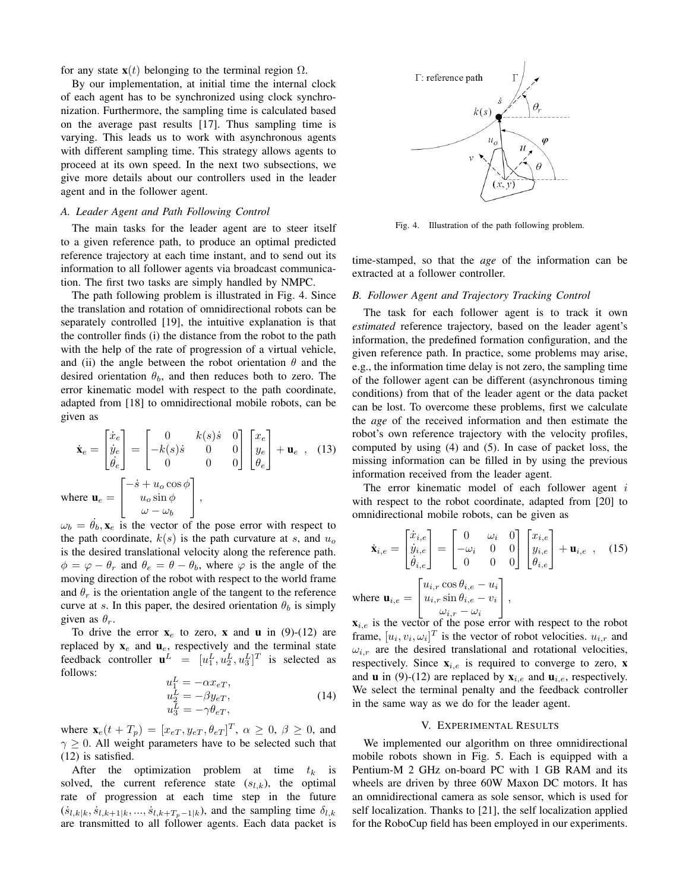for any state  $\mathbf{x}(t)$  belonging to the terminal region  $\Omega$ .

By our implementation, at initial time the internal clock of each agent has to be synchronized using clock synchronization. Furthermore, the sampling time is calculated based on the average past results [17]. Thus sampling time is varying. This leads us to work with asynchronous agents with different sampling time. This strategy allows agents to proceed at its own speed. In the next two subsections, we give more details about our controllers used in the leader agent and in the follower agent.

## *A. Leader Agent and Path Following Control*

The main tasks for the leader agent are to steer itself to a given reference path, to produce an optimal predicted reference trajectory at each time instant, and to send out its information to all follower agents via broadcast communication. The first two tasks are simply handled by NMPC.

The path following problem is illustrated in Fig. 4. Since the translation and rotation of omnidirectional robots can be separately controlled [19], the intuitive explanation is that the controller finds (i) the distance from the robot to the path with the help of the rate of progression of a virtual vehicle, and (ii) the angle between the robot orientation  $\theta$  and the desired orientation  $\theta_b$ , and then reduces both to zero. The error kinematic model with respect to the path coordinate, adapted from [18] to omnidirectional mobile robots, can be given as

$$
\dot{\mathbf{x}}_e = \begin{bmatrix} \dot{x}_e \\ \dot{y}_e \\ \dot{\theta}_e \end{bmatrix} = \begin{bmatrix} 0 & k(s)\dot{s} & 0 \\ -k(s)\dot{s} & 0 & 0 \\ 0 & 0 & 0 \end{bmatrix} \begin{bmatrix} x_e \\ y_e \\ \theta_e \end{bmatrix} + \mathbf{u}_e , \quad (13)
$$
\nwhere  $\mathbf{u}_e = \begin{bmatrix} -\dot{s} + u_o \cos \phi \\ u_o \sin \phi \\ \omega - \omega_b \end{bmatrix}$ ,

 $\omega_b = \theta_b$ ,  $\mathbf{x}_e$  is the vector of the pose error with respect to the path coordinate,  $k(s)$  is the path curvature at s, and  $u<sub>o</sub>$ is the desired translational velocity along the reference path.  $\phi = \varphi - \theta_r$  and  $\theta_e = \theta - \theta_b$ , where  $\varphi$  is the angle of the moving direction of the robot with respect to the world frame and  $\theta_r$  is the orientation angle of the tangent to the reference curve at s. In this paper, the desired orientation  $\theta_b$  is simply given as  $\theta_r$ .

To drive the error  $\mathbf{x}_e$  to zero, **x** and **u** in (9)-(12) are replaced by  $\mathbf{x}_e$  and  $\mathbf{u}_e$ , respectively and the terminal state feedback controller  $\mathbf{u}^L = [u_1^L, u_2^L, u_3^L]^T$  is selected as follows: L

$$
u_1^L = -\alpha x_{eT},
$$
  
\n
$$
u_2^L = -\beta y_{eT},
$$
  
\n
$$
u_3^L = -\gamma \theta_{eT},
$$
\n(14)

where  $\mathbf{x}_e(t+T_p) = [x_{eT}, y_{eT}, \theta_{eT}]^T$ ,  $\alpha \geq 0$ ,  $\beta \geq 0$ , and  $\gamma \geq 0$ . All weight parameters have to be selected such that (12) is satisfied.

After the optimization problem at time  $t_k$  is solved, the current reference state  $(s_{l,k})$ , the optimal rate of progression at each time step in the future  $(\dot{s}_{l,k|k}, \dot{s}_{l,k+1|k}, ..., \dot{s}_{l,k+T_p-1|k})$ , and the sampling time  $\delta_{l,k}$ are transmitted to all follower agents. Each data packet is



Fig. 4. Illustration of the path following problem.

time-stamped, so that the *age* of the information can be extracted at a follower controller.

## *B. Follower Agent and Trajectory Tracking Control*

The task for each follower agent is to track it own *estimated* reference trajectory, based on the leader agent's information, the predefined formation configuration, and the given reference path. In practice, some problems may arise, e.g., the information time delay is not zero, the sampling time of the follower agent can be different (asynchronous timing conditions) from that of the leader agent or the data packet can be lost. To overcome these problems, first we calculate the *age* of the received information and then estimate the robot's own reference trajectory with the velocity profiles, computed by using (4) and (5). In case of packet loss, the missing information can be filled in by using the previous information received from the leader agent.

The error kinematic model of each follower agent i with respect to the robot coordinate, adapted from [20] to omnidirectional mobile robots, can be given as

$$
\dot{\mathbf{x}}_{i,e} = \begin{bmatrix} \dot{x}_{i,e} \\ \dot{y}_{i,e} \\ \dot{\theta}_{i,e} \end{bmatrix} = \begin{bmatrix} 0 & \omega_i & 0 \\ -\omega_i & 0 & 0 \\ 0 & 0 & 0 \end{bmatrix} \begin{bmatrix} x_{i,e} \\ y_{i,e} \\ \theta_{i,e} \end{bmatrix} + \mathbf{u}_{i,e} \quad (15)
$$
\nwhere  $\mathbf{u}_{i,e} = \begin{bmatrix} u_{i,r} \cos \theta_{i,e} - u_i \\ u_{i,r} \sin \theta_{i,e} - v_i \\ \omega_{i,r} - \omega_i \end{bmatrix}$ ,

 $\mathbf{x}_{i,e}$  is the vector of the pose error with respect to the robot frame,  $[u_i, v_i, \omega_i]^T$  is the vector of robot velocities.  $u_{i,r}$  and  $\omega_{i,r}$  are the desired translational and rotational velocities, respectively. Since  $\mathbf{x}_{i,e}$  is required to converge to zero, **x** and **u** in (9)-(12) are replaced by  $\mathbf{x}_{i,e}$  and  $\mathbf{u}_{i,e}$ , respectively. We select the terminal penalty and the feedback controller in the same way as we do for the leader agent.

## V. EXPERIMENTAL RESULTS

We implemented our algorithm on three omnidirectional mobile robots shown in Fig. 5. Each is equipped with a Pentium-M 2 GHz on-board PC with 1 GB RAM and its wheels are driven by three 60W Maxon DC motors. It has an omnidirectional camera as sole sensor, which is used for self localization. Thanks to [21], the self localization applied for the RoboCup field has been employed in our experiments.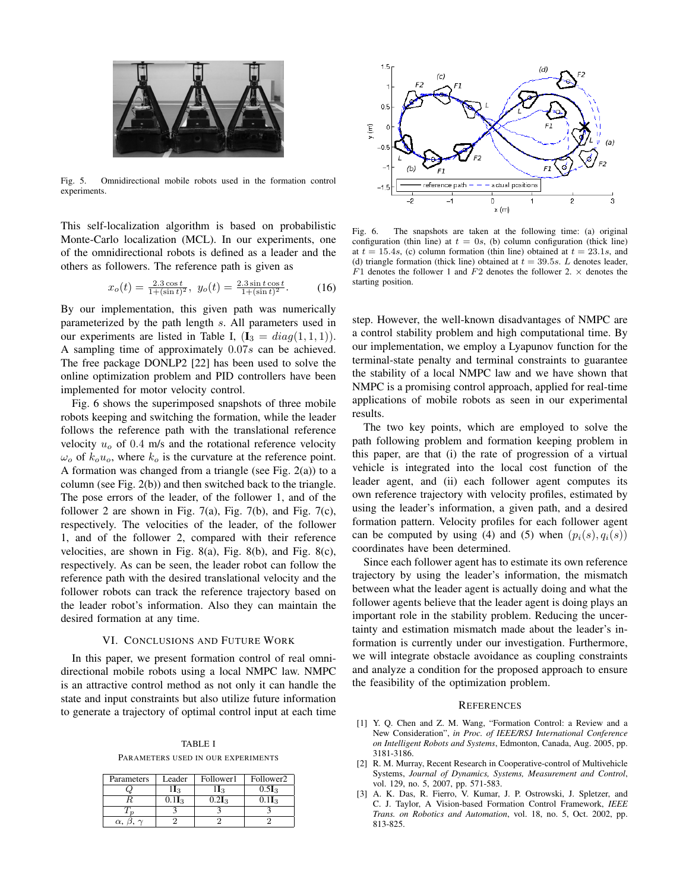

Fig. 5. Omnidirectional mobile robots used in the formation control experiments.

This self-localization algorithm is based on probabilistic Monte-Carlo localization (MCL). In our experiments, one of the omnidirectional robots is defined as a leader and the others as followers. The reference path is given as

$$
x_o(t) = \frac{2.3\cos t}{1 + (\sin t)^2}, \ y_o(t) = \frac{2.3\sin t \cos t}{1 + (\sin t)^2}.
$$
 (16)

By our implementation, this given path was numerically parameterized by the path length s. All parameters used in our experiments are listed in Table I,  $(I_3 = diag(1, 1, 1)).$ A sampling time of approximately 0.07s can be achieved. The free package DONLP2 [22] has been used to solve the online optimization problem and PID controllers have been implemented for motor velocity control.

Fig. 6 shows the superimposed snapshots of three mobile robots keeping and switching the formation, while the leader follows the reference path with the translational reference velocity  $u<sub>o</sub>$  of 0.4 m/s and the rotational reference velocity  $\omega_o$  of  $k_ou_o$ , where  $k_o$  is the curvature at the reference point. A formation was changed from a triangle (see Fig. 2(a)) to a column (see Fig. 2(b)) and then switched back to the triangle. The pose errors of the leader, of the follower 1, and of the follower 2 are shown in Fig. 7(a), Fig. 7(b), and Fig. 7(c), respectively. The velocities of the leader, of the follower 1, and of the follower 2, compared with their reference velocities, are shown in Fig. 8(a), Fig. 8(b), and Fig. 8(c), respectively. As can be seen, the leader robot can follow the reference path with the desired translational velocity and the follower robots can track the reference trajectory based on the leader robot's information. Also they can maintain the desired formation at any time.

### VI. CONCLUSIONS AND FUTURE WORK

In this paper, we present formation control of real omnidirectional mobile robots using a local NMPC law. NMPC is an attractive control method as not only it can handle the state and input constraints but also utilize future information to generate a trajectory of optimal control input at each time

TABLE I PARAMETERS USED IN OUR EXPERIMENTS

| Parameters | Leader                      | Follower1      | Follower2                   |
|------------|-----------------------------|----------------|-----------------------------|
|            | $1_3$                       | $\mathbf{I}_3$ | 0.5I <sub>3</sub>           |
|            | $0.1$ <b>I</b> <sub>3</sub> |                | $0.1$ <b>I</b> <sub>3</sub> |
|            |                             |                |                             |
| α.         |                             |                |                             |



Fig. 6. The snapshots are taken at the following time: (a) original configuration (thin line) at  $t = 0$ s, (b) column configuration (thick line) at  $t = 15.4s$ , (c) column formation (thin line) obtained at  $t = 23.1s$ , and (d) triangle formation (thick line) obtained at  $t = 39.5s$ . L denotes leader,  $F1$  denotes the follower 1 and  $F2$  denotes the follower 2.  $\times$  denotes the starting position.

step. However, the well-known disadvantages of NMPC are a control stability problem and high computational time. By our implementation, we employ a Lyapunov function for the terminal-state penalty and terminal constraints to guarantee the stability of a local NMPC law and we have shown that NMPC is a promising control approach, applied for real-time applications of mobile robots as seen in our experimental results.

The two key points, which are employed to solve the path following problem and formation keeping problem in this paper, are that (i) the rate of progression of a virtual vehicle is integrated into the local cost function of the leader agent, and (ii) each follower agent computes its own reference trajectory with velocity profiles, estimated by using the leader's information, a given path, and a desired formation pattern. Velocity profiles for each follower agent can be computed by using (4) and (5) when  $(p_i(s), q_i(s))$ coordinates have been determined.

Since each follower agent has to estimate its own reference trajectory by using the leader's information, the mismatch between what the leader agent is actually doing and what the follower agents believe that the leader agent is doing plays an important role in the stability problem. Reducing the uncertainty and estimation mismatch made about the leader's information is currently under our investigation. Furthermore, we will integrate obstacle avoidance as coupling constraints and analyze a condition for the proposed approach to ensure the feasibility of the optimization problem.

#### **REFERENCES**

- [1] Y. Q. Chen and Z. M. Wang, "Formation Control: a Review and a New Consideration", *in Proc. of IEEE/RSJ International Conference on Intelligent Robots and Systems*, Edmonton, Canada, Aug. 2005, pp. 3181-3186.
- [2] R. M. Murray, Recent Research in Cooperative-control of Multivehicle Systems, *Journal of Dynamics, Systems, Measurement and Control*, vol. 129, no. 5, 2007, pp. 571-583.
- [3] A. K. Das, R. Fierro, V. Kumar, J. P. Ostrowski, J. Spletzer, and C. J. Taylor, A Vision-based Formation Control Framework, *IEEE Trans. on Robotics and Automation*, vol. 18, no. 5, Oct. 2002, pp. 813-825.